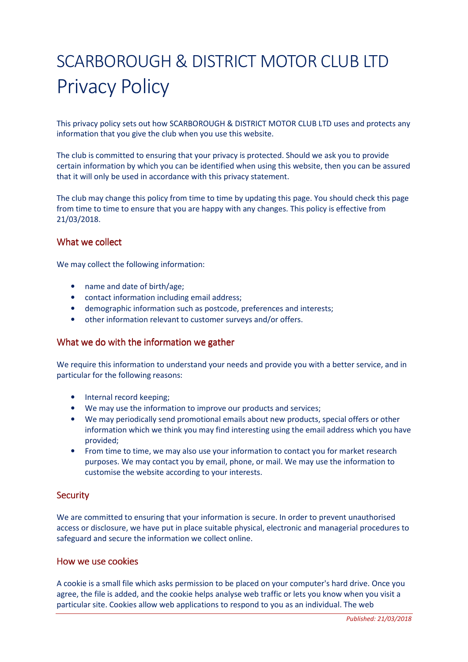# SCARBOROUGH & DISTRICT MOTOR CLUB LTD Privacy Policy

This privacy policy sets out how SCARBOROUGH & DISTRICT MOTOR CLUB LTD uses and protects any information that you give the club when you use this website.

The club is committed to ensuring that your privacy is protected. Should we ask you to provide certain information by which you can be identified when using this website, then you can be assured that it will only be used in accordance with this privacy statement.

The club may change this policy from time to time by updating this page. You should check this page from time to time to ensure that you are happy with any changes. This policy is effective from 21/03/2018.

## What we collect

We may collect the following information:

- name and date of birth/age;
- contact information including email address;
- demographic information such as postcode, preferences and interests;
- other information relevant to customer surveys and/or offers.

#### What we do with the information we gather

We require this information to understand your needs and provide you with a better service, and in particular for the following reasons:

- Internal record keeping:
- We may use the information to improve our products and services;
- We may periodically send promotional emails about new products, special offers or other information which we think you may find interesting using the email address which you have provided;
- From time to time, we may also use your information to contact you for market research purposes. We may contact you by email, phone, or mail. We may use the information to customise the website according to your interests.

## **Security**

We are committed to ensuring that your information is secure. In order to prevent unauthorised access or disclosure, we have put in place suitable physical, electronic and managerial procedures to safeguard and secure the information we collect online.

#### How we use cookies

A cookie is a small file which asks permission to be placed on your computer's hard drive. Once you agree, the file is added, and the cookie helps analyse web traffic or lets you know when you visit a particular site. Cookies allow web applications to respond to you as an individual. The web